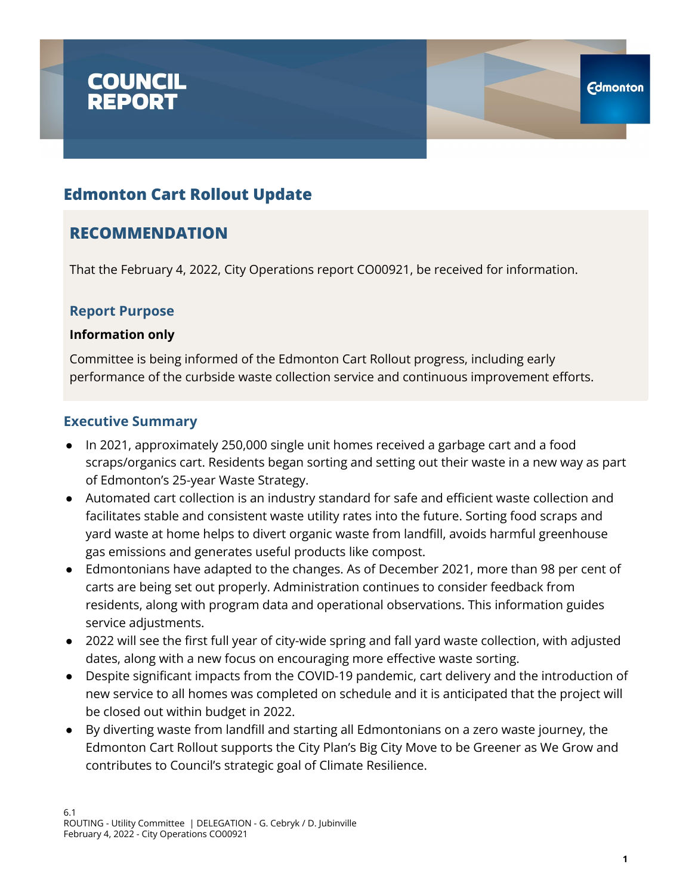

## **RECOMMENDATION**

That the February 4, 2022, City Operations report CO00921, be received for information.

### **Report Purpose**

#### **Information only**

Committee is being informed of the Edmonton Cart Rollout progress, including early performance of the curbside waste collection service and continuous improvement efforts.

#### **Executive Summary**

- In 2021, approximately 250,000 single unit homes received a garbage cart and a food scraps/organics cart. Residents began sorting and setting out their waste in a new way as part of Edmonton's 25-year Waste Strategy.
- Automated cart collection is an industry standard for safe and efficient waste collection and facilitates stable and consistent waste utility rates into the future. Sorting food scraps and yard waste at home helps to divert organic waste from landfill, avoids harmful greenhouse gas emissions and generates useful products like compost.
- Edmontonians have adapted to the changes. As of December 2021, more than 98 per cent of carts are being set out properly. Administration continues to consider feedback from residents, along with program data and operational observations. This information guides service adjustments.
- 2022 will see the first full year of city-wide spring and fall yard waste collection, with adjusted dates, along with a new focus on encouraging more effective waste sorting.
- Despite significant impacts from the COVID-19 pandemic, cart delivery and the introduction of new service to all homes was completed on schedule and it is anticipated that the project will be closed out within budget in 2022.
- By diverting waste from landfill and starting all Edmontonians on a zero waste journey, the Edmonton Cart Rollout supports the City Plan's Big City Move to be Greener as We Grow and contributes to Council's strategic goal of Climate Resilience.

**Edmonton**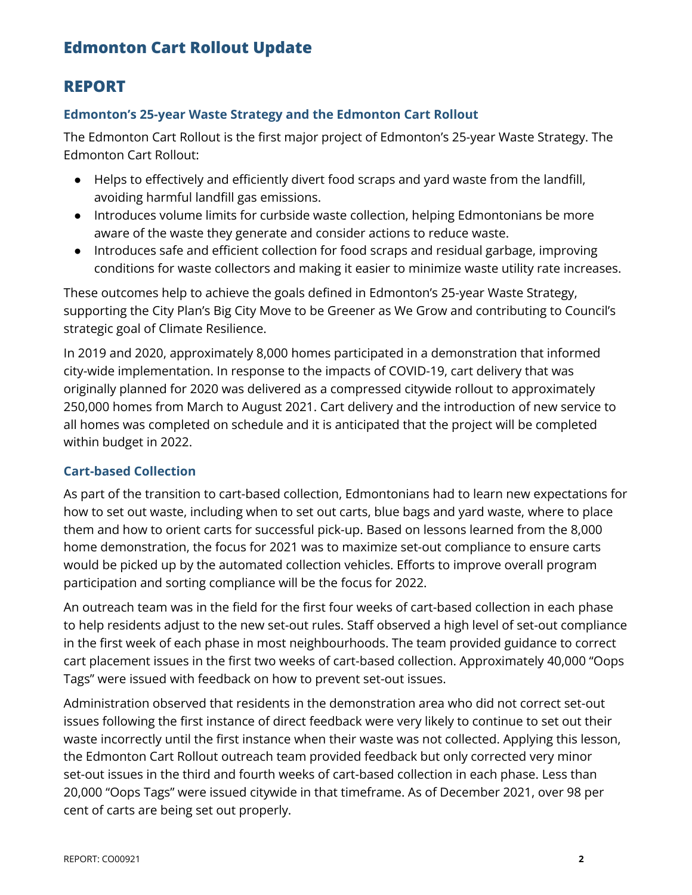## **REPORT**

#### **Edmonton's 25-year Waste Strategy and the Edmonton Cart Rollout**

The Edmonton Cart Rollout is the first major project of Edmonton's 25-year Waste Strategy. The Edmonton Cart Rollout:

- Helps to effectively and efficiently divert food scraps and yard waste from the landfill, avoiding harmful landfill gas emissions.
- Introduces volume limits for curbside waste collection, helping Edmontonians be more aware of the waste they generate and consider actions to reduce waste.
- Introduces safe and efficient collection for food scraps and residual garbage, improving conditions for waste collectors and making it easier to minimize waste utility rate increases.

These outcomes help to achieve the goals defined in Edmonton's 25-year Waste Strategy, supporting the City Plan's Big City Move to be Greener as We Grow and contributing to Council's strategic goal of Climate Resilience.

In 2019 and 2020, approximately 8,000 homes participated in a demonstration that informed city-wide implementation. In response to the impacts of COVID-19, cart delivery that was originally planned for 2020 was delivered as a compressed citywide rollout to approximately 250,000 homes from March to August 2021. Cart delivery and the introduction of new service to all homes was completed on schedule and it is anticipated that the project will be completed within budget in 2022.

### **Cart-based Collection**

As part of the transition to cart-based collection, Edmontonians had to learn new expectations for how to set out waste, including when to set out carts, blue bags and yard waste, where to place them and how to orient carts for successful pick-up. Based on lessons learned from the 8,000 home demonstration, the focus for 2021 was to maximize set-out compliance to ensure carts would be picked up by the automated collection vehicles. Efforts to improve overall program participation and sorting compliance will be the focus for 2022.

An outreach team was in the field for the first four weeks of cart-based collection in each phase to help residents adjust to the new set-out rules. Staff observed a high level of set-out compliance in the first week of each phase in most neighbourhoods. The team provided guidance to correct cart placement issues in the first two weeks of cart-based collection. Approximately 40,000 "Oops Tags" were issued with feedback on how to prevent set-out issues.

Administration observed that residents in the demonstration area who did not correct set-out issues following the first instance of direct feedback were very likely to continue to set out their waste incorrectly until the first instance when their waste was not collected. Applying this lesson, the Edmonton Cart Rollout outreach team provided feedback but only corrected very minor set-out issues in the third and fourth weeks of cart-based collection in each phase. Less than 20,000 "Oops Tags" were issued citywide in that timeframe. As of December 2021, over 98 per cent of carts are being set out properly.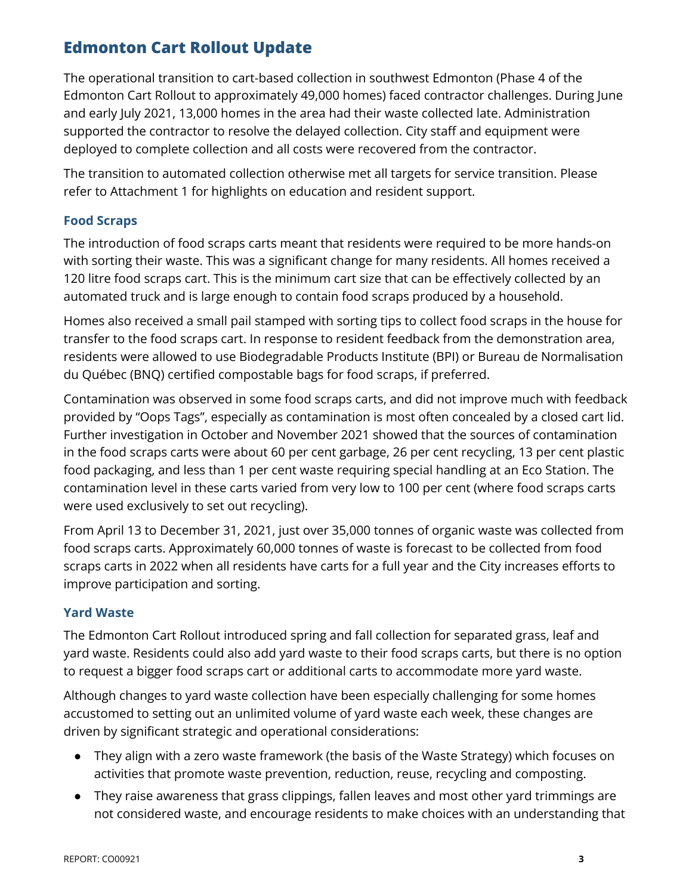The operational transition to cart-based collection in southwest Edmonton (Phase 4 of the Edmonton Cart Rollout to approximately 49,000 homes) faced contractor challenges. During June and early July 2021, 13,000 homes in the area had their waste collected late. Administration supported the contractor to resolve the delayed collection. City staff and equipment were deployed to complete collection and all costs were recovered from the contractor.

The transition to automated collection otherwise met all targets for service transition. Please refer to Attachment 1 for highlights on education and resident support.

#### **Food Scraps**

The introduction of food scraps carts meant that residents were required to be more hands-on with sorting their waste. This was a significant change for many residents. All homes received a 120 litre food scraps cart. This is the minimum cart size that can be effectively collected by an automated truck and is large enough to contain food scraps produced by a household.

Homes also received a small pail stamped with sorting tips to collect food scraps in the house for transfer to the food scraps cart. In response to resident feedback from the demonstration area, residents were allowed to use Biodegradable Products Institute (BPI) or Bureau de Normalisation du Québec (BNQ) certified compostable bags for food scraps, if preferred.

Contamination was observed in some food scraps carts, and did not improve much with feedback provided by "Oops Tags", especially as contamination is most often concealed by a closed cart lid. Further investigation in October and November 2021 showed that the sources of contamination in the food scraps carts were about 60 per cent garbage, 26 per cent recycling, 13 per cent plastic food packaging, and less than 1 per cent waste requiring special handling at an Eco Station. The contamination level in these carts varied from very low to 100 per cent (where food scraps carts were used exclusively to set out recycling).

From April 13 to December 31, 2021, just over 35,000 tonnes of organic waste was collected from food scraps carts. Approximately 60,000 tonnes of waste is forecast to be collected from food scraps carts in 2022 when all residents have carts for a full year and the City increases efforts to improve participation and sorting.

#### **Yard Waste**

The Edmonton Cart Rollout introduced spring and fall collection for separated grass, leaf and yard waste. Residents could also add yard waste to their food scraps carts, but there is no option to request a bigger food scraps cart or additional carts to accommodate more yard waste.

Although changes to yard waste collection have been especially challenging for some homes accustomed to setting out an unlimited volume of yard waste each week, these changes are driven by significant strategic and operational considerations:

- They align with a zero waste framework (the basis of the Waste Strategy) which focuses on activities that promote waste prevention, reduction, reuse, recycling and composting.
- They raise awareness that grass clippings, fallen leaves and most other yard trimmings are not considered waste, and encourage residents to make choices with an understanding that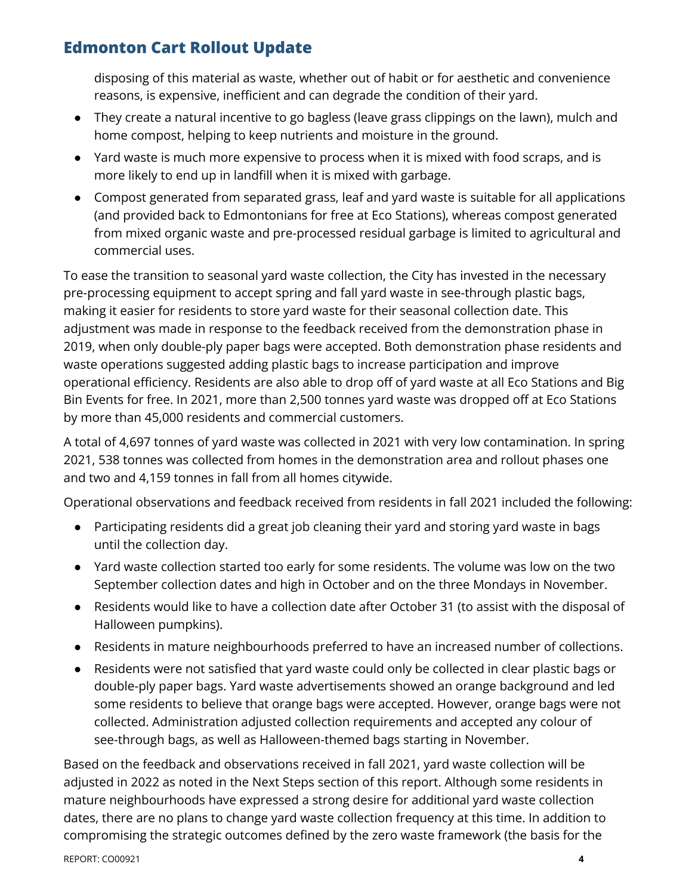disposing of this material as waste, whether out of habit or for aesthetic and convenience reasons, is expensive, inefficient and can degrade the condition of their yard.

- They create a natural incentive to go bagless (leave grass clippings on the lawn), mulch and home compost, helping to keep nutrients and moisture in the ground.
- Yard waste is much more expensive to process when it is mixed with food scraps, and is more likely to end up in landfill when it is mixed with garbage.
- Compost generated from separated grass, leaf and yard waste is suitable for all applications (and provided back to Edmontonians for free at Eco Stations), whereas compost generated from mixed organic waste and pre-processed residual garbage is limited to agricultural and commercial uses.

To ease the transition to seasonal yard waste collection, the City has invested in the necessary pre-processing equipment to accept spring and fall yard waste in see-through plastic bags, making it easier for residents to store yard waste for their seasonal collection date. This adjustment was made in response to the feedback received from the demonstration phase in 2019, when only double-ply paper bags were accepted. Both demonstration phase residents and waste operations suggested adding plastic bags to increase participation and improve operational efficiency. Residents are also able to drop off of yard waste at all Eco Stations and Big Bin Events for free. In 2021, more than 2,500 tonnes yard waste was dropped off at Eco Stations by more than 45,000 residents and commercial customers.

A total of 4,697 tonnes of yard waste was collected in 2021 with very low contamination. In spring 2021, 538 tonnes was collected from homes in the demonstration area and rollout phases one and two and 4,159 tonnes in fall from all homes citywide.

Operational observations and feedback received from residents in fall 2021 included the following:

- Participating residents did a great job cleaning their yard and storing yard waste in bags until the collection day.
- Yard waste collection started too early for some residents. The volume was low on the two September collection dates and high in October and on the three Mondays in November.
- Residents would like to have a collection date after October 31 (to assist with the disposal of Halloween pumpkins).
- Residents in mature neighbourhoods preferred to have an increased number of collections.
- Residents were not satisfied that yard waste could only be collected in clear plastic bags or double-ply paper bags. Yard waste advertisements showed an orange background and led some residents to believe that orange bags were accepted. However, orange bags were not collected. Administration adjusted collection requirements and accepted any colour of see-through bags, as well as Halloween-themed bags starting in November.

Based on the feedback and observations received in fall 2021, yard waste collection will be adjusted in 2022 as noted in the Next Steps section of this report. Although some residents in mature neighbourhoods have expressed a strong desire for additional yard waste collection dates, there are no plans to change yard waste collection frequency at this time. In addition to compromising the strategic outcomes defined by the zero waste framework (the basis for the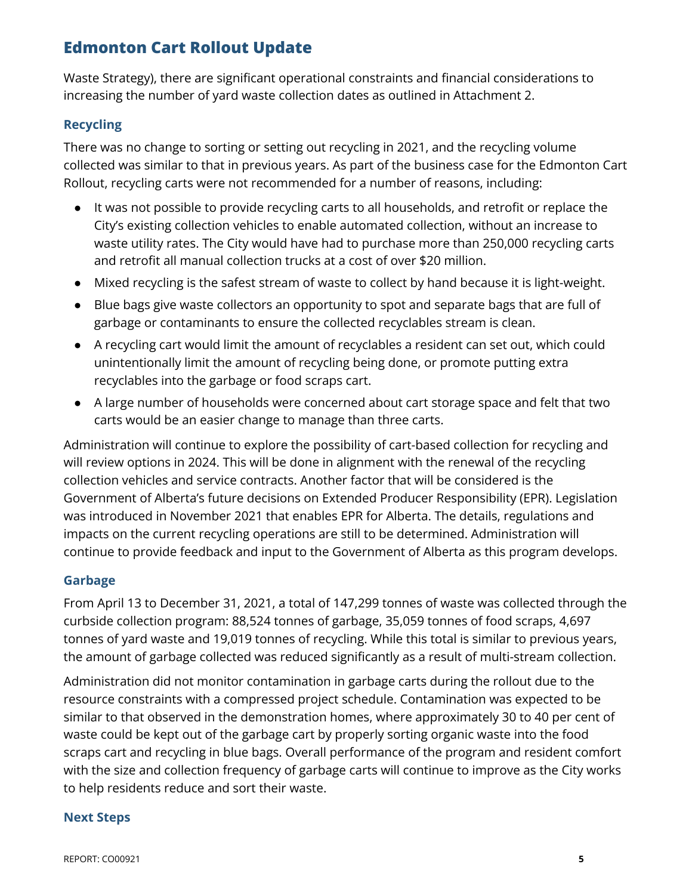Waste Strategy), there are significant operational constraints and financial considerations to increasing the number of yard waste collection dates as outlined in Attachment 2.

### **Recycling**

There was no change to sorting or setting out recycling in 2021, and the recycling volume collected was similar to that in previous years. As part of the business case for the Edmonton Cart Rollout, recycling carts were not recommended for a number of reasons, including:

- It was not possible to provide recycling carts to all households, and retrofit or replace the City's existing collection vehicles to enable automated collection, without an increase to waste utility rates. The City would have had to purchase more than 250,000 recycling carts and retrofit all manual collection trucks at a cost of over \$20 million.
- Mixed recycling is the safest stream of waste to collect by hand because it is light-weight.
- Blue bags give waste collectors an opportunity to spot and separate bags that are full of garbage or contaminants to ensure the collected recyclables stream is clean.
- A recycling cart would limit the amount of recyclables a resident can set out, which could unintentionally limit the amount of recycling being done, or promote putting extra recyclables into the garbage or food scraps cart.
- A large number of households were concerned about cart storage space and felt that two carts would be an easier change to manage than three carts.

Administration will continue to explore the possibility of cart-based collection for recycling and will review options in 2024. This will be done in alignment with the renewal of the recycling collection vehicles and service contracts. Another factor that will be considered is the Government of Alberta's future decisions on Extended Producer Responsibility (EPR). Legislation was introduced in November 2021 that enables EPR for Alberta. The details, regulations and impacts on the current recycling operations are still to be determined. Administration will continue to provide feedback and input to the Government of Alberta as this program develops.

#### **Garbage**

From April 13 to December 31, 2021, a total of 147,299 tonnes of waste was collected through the curbside collection program: 88,524 tonnes of garbage, 35,059 tonnes of food scraps, 4,697 tonnes of yard waste and 19,019 tonnes of recycling. While this total is similar to previous years, the amount of garbage collected was reduced significantly as a result of multi-stream collection.

Administration did not monitor contamination in garbage carts during the rollout due to the resource constraints with a compressed project schedule. Contamination was expected to be similar to that observed in the demonstration homes, where approximately 30 to 40 per cent of waste could be kept out of the garbage cart by properly sorting organic waste into the food scraps cart and recycling in blue bags. Overall performance of the program and resident comfort with the size and collection frequency of garbage carts will continue to improve as the City works to help residents reduce and sort their waste.

#### **Next Steps**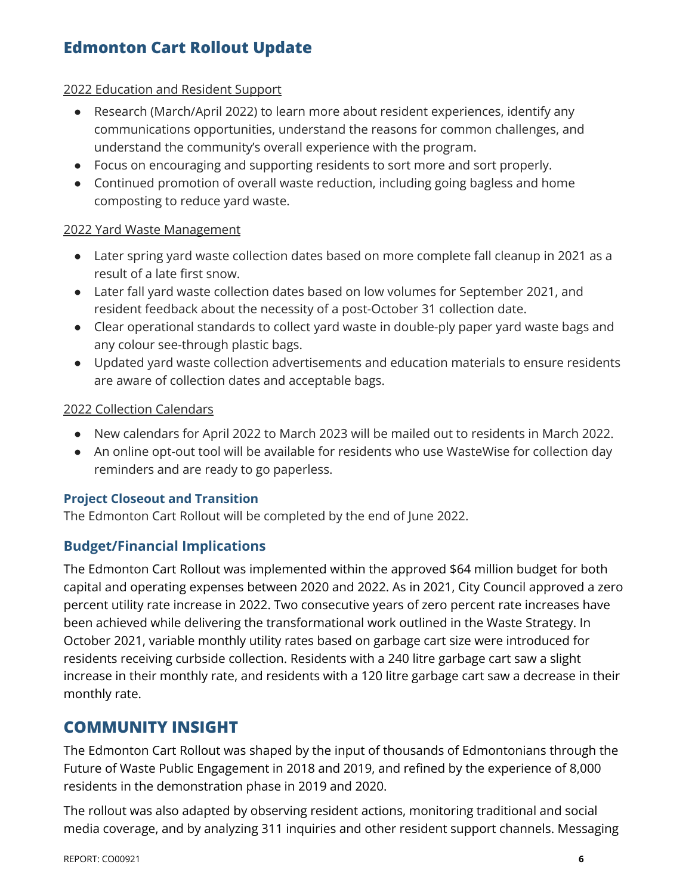#### 2022 Education and Resident Support

- Research (March/April 2022) to learn more about resident experiences, identify any communications opportunities, understand the reasons for common challenges, and understand the community's overall experience with the program.
- Focus on encouraging and supporting residents to sort more and sort properly.
- Continued promotion of overall waste reduction, including going bagless and home composting to reduce yard waste.

#### 2022 Yard Waste Management

- Later spring yard waste collection dates based on more complete fall cleanup in 2021 as a result of a late first snow.
- Later fall yard waste collection dates based on low volumes for September 2021, and resident feedback about the necessity of a post-October 31 collection date.
- Clear operational standards to collect yard waste in double-ply paper yard waste bags and any colour see-through plastic bags.
- Updated yard waste collection advertisements and education materials to ensure residents are aware of collection dates and acceptable bags.

#### 2022 Collection Calendars

- New calendars for April 2022 to March 2023 will be mailed out to residents in March 2022.
- An online opt-out tool will be available for residents who use WasteWise for collection day reminders and are ready to go paperless.

#### **Project Closeout and Transition**

The Edmonton Cart Rollout will be completed by the end of June 2022.

### **Budget/Financial Implications**

The Edmonton Cart Rollout was implemented within the approved \$64 million budget for both capital and operating expenses between 2020 and 2022. As in 2021, City Council approved a zero percent utility rate increase in 2022. Two consecutive years of zero percent rate increases have been achieved while delivering the transformational work outlined in the Waste Strategy. In October 2021, variable monthly utility rates based on garbage cart size were introduced for residents receiving curbside collection. Residents with a 240 litre garbage cart saw a slight increase in their monthly rate, and residents with a 120 litre garbage cart saw a decrease in their monthly rate.

### **COMMUNITY INSIGHT**

The Edmonton Cart Rollout was shaped by the input of thousands of Edmontonians through the Future of Waste Public Engagement in 2018 and 2019, and refined by the experience of 8,000 residents in the demonstration phase in 2019 and 2020.

The rollout was also adapted by observing resident actions, monitoring traditional and social media coverage, and by analyzing 311 inquiries and other resident support channels. Messaging